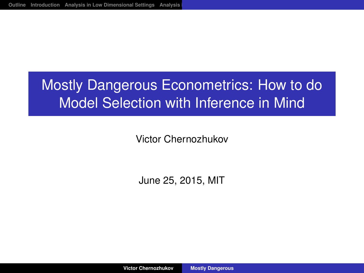## <span id="page-0-0"></span>Mostly Dangerous Econometrics: How to do Model Selection with Inference in Mind

Victor Chernozhukov

June 25, 2015, MIT

**Victor Chernozhukov [Mostly Dangerous](#page-36-0)**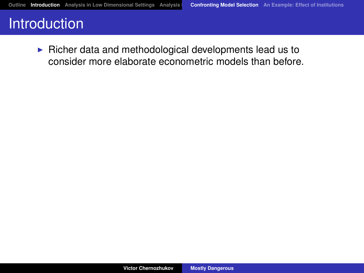<span id="page-1-1"></span><span id="page-1-0"></span> $\triangleright$  Richer data and methodological developments lead us to consider more elaborate econometric models than before.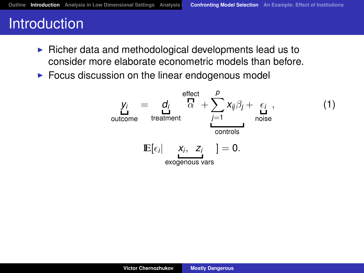- $\triangleright$  Richer data and methodological developments lead us to consider more elaborate econometric models than before.
- $\triangleright$  Focus discussion on the linear endogenous model

$$
y_{i} = d_{i} \n\begin{array}{c}\n\text{effect} \\
\text{or} \\
\text{treatment} \\
\text{treatment}\n\end{array}
$$
\n
$$
E[\epsilon_{i} | X_{i}, Z_{i} ] = 0.
$$
\n
$$
(1)
$$
\n
$$
E[\epsilon_{i} | X_{i}, Z_{i} ] = 0.
$$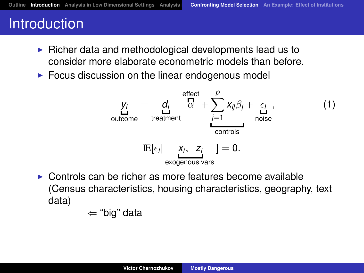- $\triangleright$  Richer data and methodological developments lead us to consider more elaborate econometric models than before.
- $\triangleright$  Focus discussion on the linear endogenous model

$$
y_{i} = d_{i} \n\begin{array}{c}\n\text{effect} \\
\text{or} \\
\text{tradiment} \\
\text{contcons}\n\end{array}
$$
\n
$$
E[\epsilon_{i} | \n\begin{array}{c}\n\text{effect} \\
\text{r} \\
\text{f} \\
\text{f} \\
\text{controls}\n\end{array}] = 0.
$$
\n(1)

 $\triangleright$  Controls can be richer as more features become available (Census characteristics, housing characteristics, geography, text data)

⇐ "big" data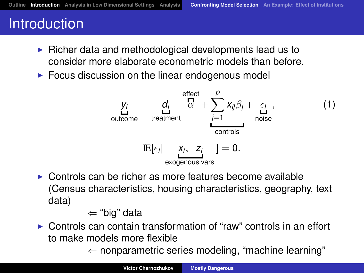- <span id="page-4-0"></span> $\triangleright$  Richer data and methodological developments lead us to consider more elaborate econometric models than before.
- $\triangleright$  Focus discussion on the linear endogenous model

$$
y_{i} = d_{i} \n\begin{array}{c}\n\text{effect} \\
\text{d}_{i} \\
\text{between the current} \\
\text{inductor} \\
\text{E}[\epsilon_{i} | \n\begin{array}{c}\n\text{effect} \\
\text{f} \\
\text{f} \\
\text{f} \\
\text{f} \\
\text{f} \\
\text{f} \\
\text{f} \\
\text{f} \\
\text{f} \\
\text{f} \\
\text{f} \\
\text{f} \\
\text{f} \\
\text{f} \\
\text{f} \\
\text{f} \\
\text{f} \\
\text{f} \\
\text{f} \\
\text{f} \\
\text{f} \\
\text{f} \\
\text{f} \\
\text{f} \\
\text{f} \\
\text{f} \\
\text{f} \\
\text{f} \\
\text{f} \\
\text{f} \\
\text{f} \\
\text{f} \\
\text{f} \\
\text{f} \\
\text{f} \\
\text{f} \\
\text{f} \\
\text{f} \\
\text{f} \\
\text{f} \\
\text{f} \\
\text{f} \\
\text{f} \\
\text{f} \\
\text{f} \\
\text{f} \\
\text{f} \\
\text{f} \\
\text{f} \\
\text{f} \\
\text{f} \\
\text{f} \\
\text{f} \\
\text{f} \\
\text{f} \\
\text{f} \\
\text{f} \\
\text{f} \\
\text{f} \\
\text{f} \\
\text{f} \\
\text{f} \\
\text{f} \\
\text{f} \\
\text{f} \\
\text{f} \\
\text{f} \\
\text{f} \\
\text{f} \\
\text{f} \\
\text{f} \\
\text{f} \\
\text{f} \\
\text{f} \\
\text{f} \\
\text{f} \\
\text{f} \\
\text{f} \\
\text{f} \\
\text{f} \\
\text{f} \\
\text{f} \\
\text{f} \\
\text{f} \\
\text{f} \\
\text{f} \\
\text{f} \\
\text{f} \\
\text{f} \\
\text{f} \\
\text{f} \\
\text{f} \\
\text{f} \\
\text{f} \\
\text{f} \\
\text{f} \\
\text{f} \\
\text{f} \\
\text{f} \\
\text{f} \\
\text{f} \\
\text{f} \\
\text{f} \\
\text{f} \\
\text{f} \\
\text{f} \\
\text{f} \\
\text{f} \\
\text{f} \\
\text{f} \\
\text{f} \\
\text{f} \\
\text{f} \\
\text{f} \\
$$

 $\triangleright$  Controls can be richer as more features become available (Census characteristics, housing characteristics, geography, text data)

⇐ "big" data

 $\triangleright$  Controls can contain transformation of "raw" controls in an effort to make models more flexible

 $\Leftarrow$  nonparametric series modeling, "machine learning"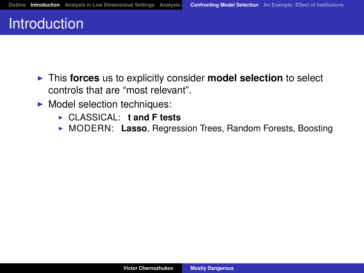- **Fig. 2** This **forces** us to explicitly consider **model selection** to select controls that are "most relevant".
- $\blacktriangleright$  Model selection techniques:
	- ▶ CLASSICAL: **t and F tests**
	- ▶ MODERN: Lasso, Regression Trees, Random Forests, Boosting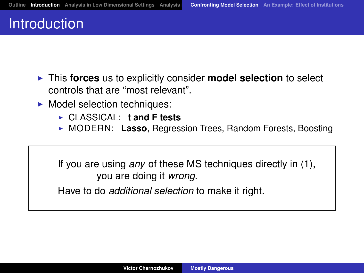- **Fig. 1** This **forces** us to explicitly consider **model selection** to select controls that are "most relevant".
- $\blacktriangleright$  Model selection techniques:
	- <sup>I</sup> CLASSICAL: **t and F tests**
	- ▶ MODERN: Lasso, Regression Trees, Random Forests, Boosting

If you are using *any* of these MS techniques directly in [\(1\)](#page-1-1), you are doing it *wrong.*

Have to do *additional selection* to make it right.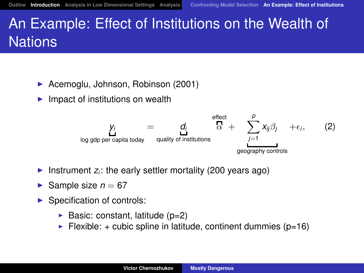## <span id="page-7-0"></span>An Example: Effect of Institutions on the Wealth of Nations

- ▶ Acemoglu, Johnson, Robinson (2001)
- $\blacktriangleright$  Impact of institutions on wealth



- Instrument  $z_i$ : the early settler mortality (200 years ago)
- Sample size  $n = 67$
- $\blacktriangleright$  Specification of controls:
	- $\blacktriangleright$  Basic: constant, latitude (p=2)
	- $\blacktriangleright$  Flexible: + cubic spline in latitude, continent dummies (p=16)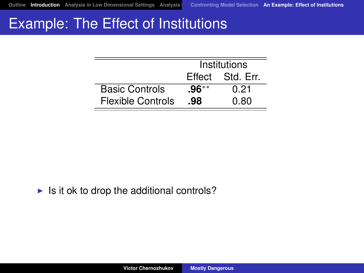## Example: The Effect of Institutions

|                       | Institutions |                  |
|-----------------------|--------------|------------------|
|                       |              | Effect Std. Err. |
| <b>Basic Controls</b> | $.96***$     | 0.21             |
| Flexible Controls     | .98          | 0 80             |

 $\blacktriangleright$  Is it ok to drop the additional controls?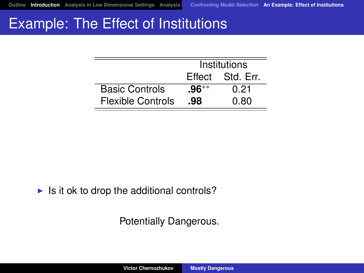## Example: The Effect of Institutions

|                       | Institutions |                  |
|-----------------------|--------------|------------------|
|                       |              | Effect Std. Err. |
| <b>Basic Controls</b> | $.96***$     | 0.21             |
| Flexible Controls     | .98          | 0 80             |

 $\blacktriangleright$  Is it ok to drop the additional controls?

Potentially Dangerous.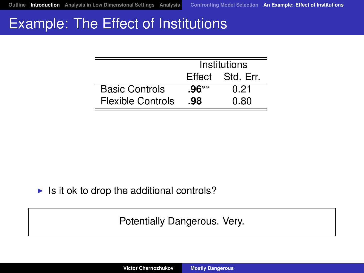## Example: The Effect of Institutions

|                       | Institutions |                  |
|-----------------------|--------------|------------------|
|                       |              | Effect Std. Err. |
| <b>Basic Controls</b> | $.96***$     | 0.21             |
| Flexible Controls     | .98          | 0 80             |

 $\blacktriangleright$  Is it ok to drop the additional controls?

Potentially Dangerous. Very.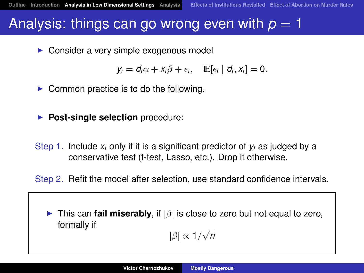#### <span id="page-11-0"></span>Analysis: things can go wrong even with  $p = 1$

 $\triangleright$  Consider a very simple exogenous model

$$
y_i = d_i \alpha + x_i \beta + \epsilon_i, \quad \mathbb{E}[\epsilon_i | d_i, x_i] = 0.
$$

- $\triangleright$  Common practice is to do the following.
- **Post-single selection** procedure:
- Step 1. Include  $x_i$  only if it is a significant predictor of  $y_i$  as judged by a conservative test (t-test, Lasso, etc.). Drop it otherwise.

Step 2. Refit the model after selection, use standard confidence intervals.

**Fig. 1** This can **fail miserably**, if  $|\beta|$  is close to zero but not equal to zero, formally if

|β| ∝ 1/ √ *n*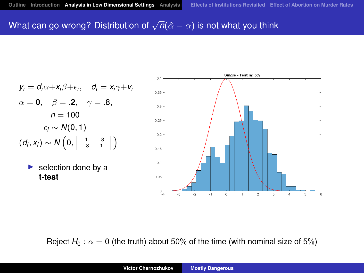## What can go wrong? Distribution of  $\sqrt n (\hat \alpha - \alpha)$  is not what you think

 $0<sup>2</sup>$ 

$$
y_i = d_i \alpha + x_i \beta + \epsilon_i, \quad d_i = x_i \gamma + v_i
$$
  
\n
$$
\alpha = \mathbf{0}, \quad \beta = .\mathbf{2}, \quad \gamma = .8,
$$
  
\n
$$
n = 100
$$
  
\n
$$
\epsilon_i \sim N(0, 1)
$$
  
\n
$$
(d_i, x_i) \sim N\left(0, \begin{bmatrix} 1 & .8 \\ .8 & 1 \end{bmatrix}\right)
$$
  
\n**> selection done by a**

**t-test**

 $0.35$  $0.3$ 0.25  $0.2$  $0.15$  $0.1$  $0.05$ .3  $\overline{a}$  $\mathbf{A}$  $\circ$  $\overline{1}$  $\,$  2  $\,$  $\overline{a}$  $\overline{a}$  $\overline{5}$  $\overline{6}$  $-4$ 

Single - Testing 5%

Reject  $H_0$ :  $\alpha = 0$  (the truth) about 50% of the time (with nominal size of 5%)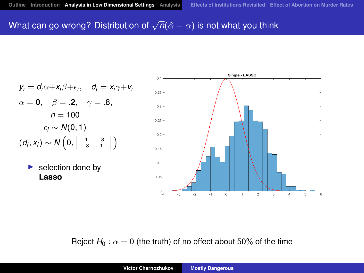## What can go wrong? Distribution of  $\sqrt n (\hat \alpha - \alpha)$  is not what you think

 $0<sup>2</sup>$ 

$$
y_i = d_i \alpha + x_i \beta + \epsilon_i, \quad d_i = x_i \gamma + v_i
$$
  
\n
$$
\alpha = \mathbf{0}, \quad \beta = .\mathbf{2}, \quad \gamma = .8,
$$
  
\n
$$
n = 100
$$
  
\n
$$
\epsilon_i \sim N(0, 1)
$$
  
\n
$$
(d_i, x_i) \sim N\left(0, \begin{bmatrix} 1 & .8 \\ .8 & 1 \end{bmatrix}\right)
$$
  
\n**selection done by**

**Lasso**

 $0.35$  $0.3$ 0.25  $0.2$  $0.15$  $0.1$  $0.05$ .3  $\overline{z}$  $\mathbf{A}$  $\circ$  $\overline{1}$  $\,$  2  $\,$  $\mathbf{a}$  $\overline{a}$  $\overline{5}$  $\overline{6}$  $-4$ 

Single - LASSO

Reject  $H_0$ :  $\alpha = 0$  (the truth) of no effect about 50% of the time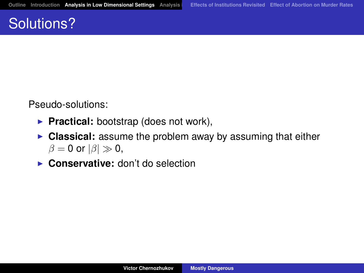## Solutions?

Pseudo-solutions:

- **Practical:** bootstrap (does not work),
- **Classical:** assume the problem away by assuming that either  $\beta = 0$  or  $|\beta| \gg 0$ ,
- ▶ Conservative: don't do selection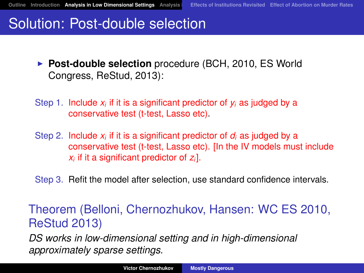## Solution: Post-double selection

- **Post-double selection** procedure (BCH, 2010, ES World Congress, ReStud, 2013):
- Step 1. Include  $x_i$  if it is a significant predictor of  $y_i$  as judged by a conservative test (t-test, Lasso etc).
- Step 2. Include  $x_i$  if it is a significant predictor of  $d_i$  as judged by a conservative test (t-test, Lasso etc). [In the IV models must include *xi* if it a significant predictor of *zi*].
- Step 3. Refit the model after selection, use standard confidence intervals.

Theorem (Belloni, Chernozhukov, Hansen: WC ES 2010, ReStud 2013)

*DS works in low-dimensional setting and in high-dimensional approximately sparse settings.*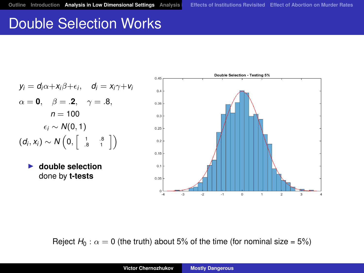## Double Selection Works

 $y_i = d_i \alpha + x_i \beta + \epsilon_i$ ,  $d_i = x_i \gamma + v_i$  $\alpha = 0, \quad \beta = .2, \quad \gamma = .8,$  $n = 100$  $\epsilon_i \sim N(0, 1)$  $(d_i, x_i) \sim N\left(0, \begin{bmatrix} 1 & .8 \\ .8 & 1 \end{bmatrix}\right)$ ▶ double selection done by **t-tests**



Reject  $H_0$ :  $\alpha = 0$  (the truth) about 5% of the time (for nominal size = 5%)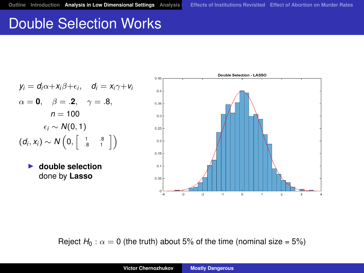## Double Selection Works

 $y_i = d_i \alpha + x_i \beta + \epsilon_i$ ,  $d_i = x_i \gamma + v_i$  $\alpha = 0, \quad \beta = .2, \quad \gamma = .8,$  $n = 100$  $\epsilon_i \sim N(0, 1)$  $(d_i, x_i) \sim N\left(0, \begin{bmatrix} 1 & .8 \\ .8 & 1 \end{bmatrix}\right)$ ▶ double selection done by **Lasso**



Reject  $H_0$ :  $\alpha = 0$  (the truth) about 5% of the time (nominal size = 5%)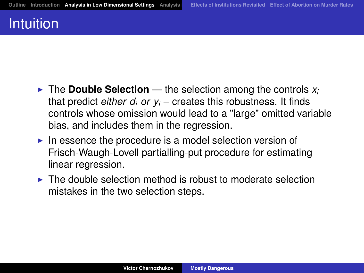## Intuition

- $\blacktriangleright$  The **Double Selection** the selection among the controls  $x_i$ that predict *either d<sup>i</sup> or y<sup>i</sup>* – creates this robustness. It finds controls whose omission would lead to a "large" omitted variable bias, and includes them in the regression.
- $\blacktriangleright$  In essence the procedure is a model selection version of Frisch-Waugh-Lovell partialling-put procedure for estimating linear regression.
- $\blacktriangleright$  The double selection method is robust to moderate selection mistakes in the two selection steps.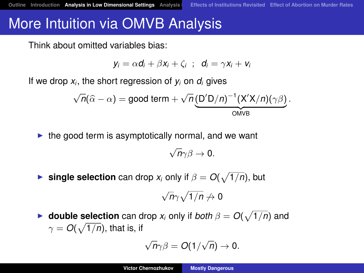## More Intuition via OMVB Analysis

Think about omitted variables bias:

$$
y_i = \alpha d_i + \beta x_i + \zeta_i \hspace{.1cm}; \hspace{.1cm} d_i = \gamma x_i + v_i
$$

If we drop  $x_i$ , the short regression of  $y_i$  on  $d_i$  gives

$$
\sqrt{n}(\widehat{\alpha}-\alpha)=\text{good term}+\sqrt{n}(\underbrace{D'D/n)^{-1}(X'X/n)(\gamma\beta}_{\text{OMVB}}).
$$

 $\blacktriangleright$  the good term is asymptotically normal, and we want

$$
\sqrt{n}\gamma\beta\rightarrow 0.
$$

**Figure selection** can drop  $x_i$  only if  $\beta = O(\sqrt{1/n})$ , but

$$
\sqrt{n}\gamma\sqrt{1/n}\not\to 0
$$

**If double selection** can drop  $x_i$  only if both  $\beta = O(\sqrt{1/n})$  and  $\gamma = O(\sqrt{1/n})$ , that is, if

$$
\sqrt{n}\gamma\beta=O(1/\sqrt{n})\to 0.
$$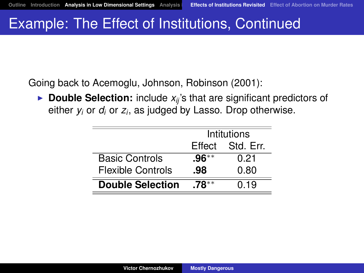## <span id="page-20-0"></span>Example: The Effect of Institutions, Continued

Going back to Acemoglu, Johnson, Robinson (2001):

 $\triangleright$  **Double Selection:** include  $x_{ii}$ 's that are significant predictors of either *y<sup>i</sup>* or *d<sup>i</sup>* or *z<sup>i</sup>* , as judged by Lasso. Drop otherwise.

|                          | Intitutions |                  |
|--------------------------|-------------|------------------|
|                          |             | Effect Std. Err. |
| <b>Basic Controls</b>    | $.96***$    | 0.21             |
| <b>Flexible Controls</b> | .98         | 0.80             |
| <b>Double Selection</b>  | $.78***$    | 0.19             |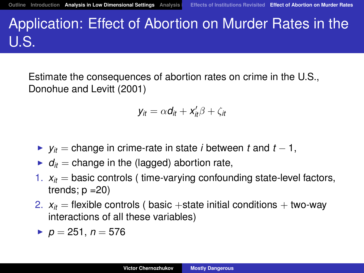# <span id="page-21-0"></span>Application: Effect of Abortion on Murder Rates in the U.S.

Estimate the consequences of abortion rates on crime in the U.S., Donohue and Levitt (2001)

$$
y_{it} = \alpha d_{it} + x_{it}'\beta + \zeta_{it}
$$

- $\triangleright$  *y<sub>it</sub>* = change in crime-rate in state *i* between *t* and *t* − 1,
- $\bullet$   $d_{it}$  = change in the (lagged) abortion rate,
- 1.  $x_{it}$  = basic controls (time-varying confounding state-level factors, trends;  $p = 20$
- 2.  $x_{it}$  = flexible controls ( basic +state initial conditions + two-way interactions of all these variables)
- $p = 251, n = 576$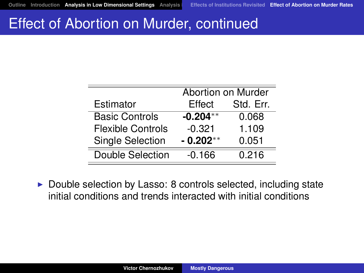#### Effect of Abortion on Murder, continued

|                          | Abortion on Murder |           |
|--------------------------|--------------------|-----------|
| Estimator                | Effect             | Std. Err. |
| <b>Basic Controls</b>    | $-0.204**$         | 0.068     |
| <b>Flexible Controls</b> | $-0.321$           | 1.109     |
| <b>Single Selection</b>  | $-0.202**$         | 0.051     |
| Double Selection         | $-0.166$           | 0.216     |

 $\triangleright$  Double selection by Lasso: 8 controls selected, including state initial conditions and trends interacted with initial conditions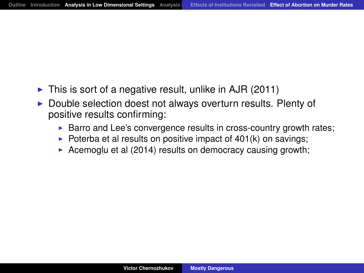- $\triangleright$  This is sort of a negative result, unlike in AJR (2011)
- $\triangleright$  Double selection doest not always overturn results. Plenty of positive results confirming:
	- $\triangleright$  Barro and Lee's convergence results in cross-country growth rates;
	- $\triangleright$  Poterba et al results on positive impact of 401(k) on savings;
	- Acemoglu et al (2014) results on democracy causing growth;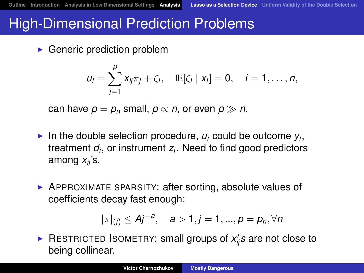### <span id="page-24-0"></span>High-Dimensional Prediction Problems

 $\blacktriangleright$  Generic prediction problem

$$
u_i=\sum_{j=1}^p x_{ij}\pi_j+\zeta_i, \quad \mathbb{E}[\zeta_i\mid x_i]=0, \quad i=1,\ldots,n,
$$

can have  $p = p_n$  small,  $p \propto n$ , or even  $p \gg n$ .

- In the double selection procedure,  $u_i$  could be outcome  $y_i$ , treatment *d<sup>i</sup>* , or instrument *z<sup>i</sup>* . Need to find good predictors among *xij* 's.
- $\triangleright$  APPROXIMATE SPARSITY: after sorting, absolute values of coefficients decay fast enough:

$$
|\pi|_{(j)} \leq Aj^{-a}, \quad a > 1, j = 1, ..., p = p_n, \forall n
$$

▶ RESTRICTED ISOMETRY: small groups of *x*<sup>*i*</sup><sub>*ij*</sub>*s* are not close to being collinear.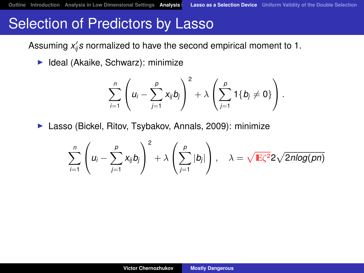## Selection of Predictors by Lasso

Assuming  $x_{ij}'$ *s* normalized to have the second empirical moment to 1.

 $\blacktriangleright$  Ideal (Akaike, Schwarz): minimize

$$
\sum_{i=1}^n \left(u_i-\sum_{j=1}^p x_{ij}b_j\right)^2+\lambda\left(\sum_{j=1}^p 1\{b_j\neq 0\}\right).
$$

▶ Lasso (Bickel, Ritov, Tsybakov, Annals, 2009): minimize

$$
\sum_{i=1}^n \left(u_i - \sum_{j=1}^p x_{ij}b_j\right)^2 + \lambda \left(\sum_{j=1}^p |b_j|\right), \quad \lambda = \sqrt{\mathbb{E}\zeta^2} 2\sqrt{2n \log(pn)}
$$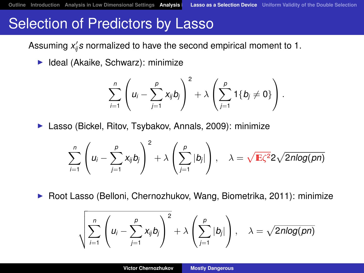## Selection of Predictors by Lasso

Assuming  $x_{ij}'$ *s* normalized to have the second empirical moment to 1.

 $\blacktriangleright$  Ideal (Akaike, Schwarz): minimize

$$
\sum_{i=1}^n \left(u_i-\sum_{j=1}^p x_{ij}b_j\right)^2+\lambda\left(\sum_{j=1}^p 1\{b_j\neq 0\}\right).
$$

▶ Lasso (Bickel, Ritov, Tsybakov, Annals, 2009): minimize

$$
\sum_{i=1}^n \left(u_i - \sum_{j=1}^p x_{ij}b_j\right)^2 + \lambda \left(\sum_{j=1}^p |b_j|\right), \quad \lambda = \sqrt{\mathbb{E}\zeta^2} 2\sqrt{2n \log(pn)}
$$

 $\triangleright$  Root Lasso (Belloni, Chernozhukov, Wang, Biometrika, 2011): minimize

$$
\sqrt{\sum_{i=1}^n \left(u_i - \sum_{j=1}^p x_{ij}b_j\right)^2} + \lambda \left(\sum_{j=1}^p |b_j|\right), \quad \lambda = \sqrt{2n\log(pn)}
$$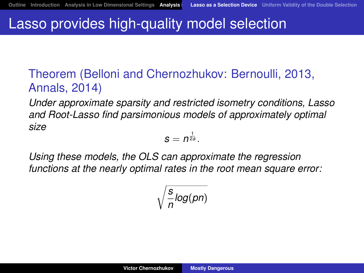## Lasso provides high-quality model selection

#### Theorem (Belloni and Chernozhukov: Bernoulli, 2013, Annals, 2014)

*Under approximate sparsity and restricted isometry conditions, Lasso and Root-Lasso find parsimonious models of approximately optimal size*

$$
s=n^{\frac{1}{2a}}.
$$

*Using these models, the OLS can approximate the regression functions at the nearly optimal rates in the root mean square error:*

$$
\sqrt{\frac{s}{n} \log(pn)}
$$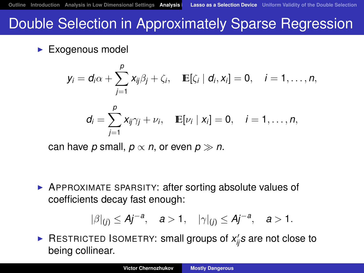## Double Selection in Approximately Sparse Regression

 $\blacktriangleright$  Exogenous model

$$
y_i = d_i \alpha + \sum_{j=1}^p x_{ij} \beta_j + \zeta_i, \quad \mathbb{E}[\zeta_i \mid d_i, x_i] = 0, \quad i = 1, \ldots, n,
$$

$$
d_i = \sum_{j=1}^p x_{ij} \gamma_j + \nu_i, \quad \mathbb{E}[\nu_i \mid x_i] = 0, \quad i = 1, \ldots, n,
$$

can have *p* small,  $p \propto n$ , or even  $p \gg n$ .

**• APPROXIMATE SPARSITY: after sorting absolute values of** coefficients decay fast enough:

$$
|\beta|_{(j)} \leq Aj^{-a}, \quad a > 1, \quad |\gamma|_{(j)} \leq Aj^{-a}, \quad a > 1.
$$

▶ RESTRICTED ISOMETRY: small groups of *x*<sup>*i*</sup><sub>*ij*</sub>*s* are not close to being collinear.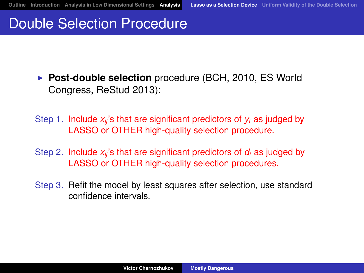## Double Selection Procedure

**Post-double selection** procedure (BCH, 2010, ES World Congress, ReStud 2013):

Step 1. Include  $x_{ii}$ 's that are significant predictors of  $y_i$  as judged by LASSO or OTHER high-quality selection procedure.

- Step 2. Include *xij* 's that are significant predictors of *d<sup>i</sup>* as judged by LASSO or OTHER high-quality selection procedures.
- Step 3. Refit the model by least squares after selection, use standard confidence intervals.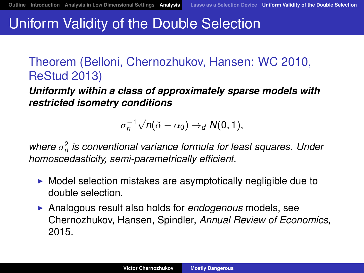## <span id="page-30-0"></span>Uniform Validity of the Double Selection

Theorem (Belloni, Chernozhukov, Hansen: WC 2010, ReStud 2013)

*Uniformly within a class of approximately sparse models with restricted isometry conditions*

> $\sigma_n^{-1}$ √  $n(\check{\alpha} - \alpha_0) \rightarrow_d N(0, 1),$

where  $σ<sub>n</sub><sup>2</sup>$  is conventional variance formula for least squares. Under *homoscedasticity, semi-parametrically efficient.*

- $\triangleright$  Model selection mistakes are asymptotically negligible due to double selection.
- **Analogous result also holds for** *endogenous* **models**, see Chernozhukov, Hansen, Spindler, *Annual Review of Economics*, 2015.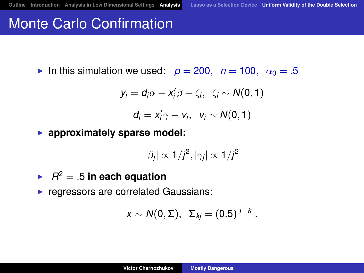## Monte Carlo Confirmation

In this simulation we used:  $p = 200$ ,  $n = 100$ ,  $\alpha_0 = .5$ 

$$
y_i = d_i \alpha + x'_i \beta + \zeta_i, \ \zeta_i \sim N(0,1)
$$

$$
d_i=x'_i\gamma+v_i,\ v_i\sim N(0,1)
$$

**P** approximately sparse model:

$$
|\beta_j| \propto 1/j^2, |\gamma_j| \propto 1/j^2
$$

 $\blacktriangleright$   $R^2 = .5$  in each equation

 $\blacktriangleright$  regressors are correlated Gaussians:

$$
x \sim N(0, \Sigma), \ \Sigma_{kj} = (0.5)^{|j-k|}.
$$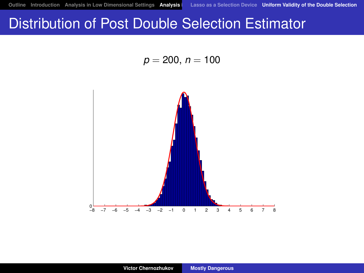## Distribution of Post Double Selection Estimator

 $p = 200, n = 100$ 

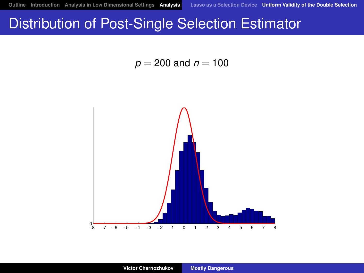## Distribution of Post-Single Selection Estimator

 $p = 200$  and  $n = 100$ 

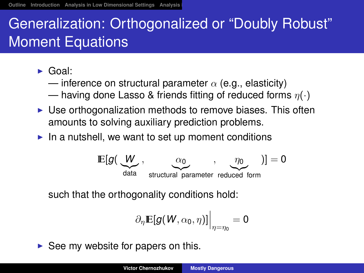## <span id="page-34-0"></span>Generalization: Orthogonalized or "Doubly Robust" Moment Equations

- $\blacktriangleright$  Goal:
	- inference on structural parameter  $\alpha$  (e.g., elasticity)
	- having done Lasso & friends fitting of reduced forms  $\eta(\cdot)$
- $\triangleright$  Use orthogonalization methods to remove biases. This often amounts to solving auxiliary prediction problems.
- $\blacktriangleright$  In a nutshell, we want to set up moment conditions



such that the orthogonality conditions hold:

$$
\partial_{\eta} \mathbb{E}[g(W, \alpha_0, \eta)]\Big|_{\eta=\eta_0} = 0
$$

 $\triangleright$  See my website for papers on this.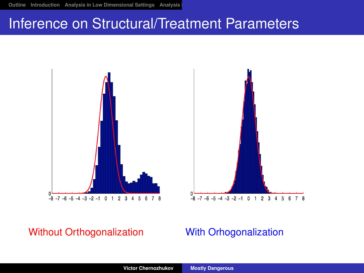## Inference on Structural/Treatment Parameters





#### Without Orthogonalization With Orhogonalization